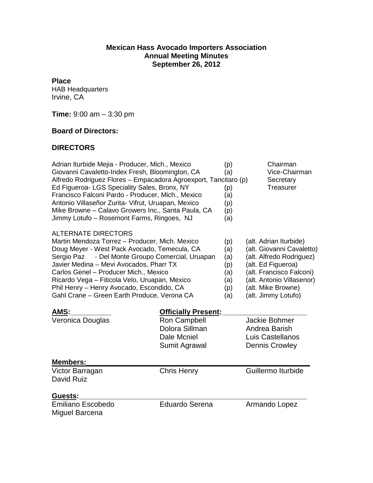### **Mexican Hass Avocado Importers Association Annual Meeting Minutes September 26, 2012**

**Place**

HAB Headquarters Irvine, CA

**Time:** 9:00 am – 3:30 pm

### **Board of Directors:**

### **DIRECTORS**

| Adrian Iturbide Mejia - Producer, Mich., Mexico<br>Giovanni Cavaletto-Index Fresh, Bloomington, CA<br>Alfredo Rodriguez Flores - Empacadora Agroexport, Tancitaro (p)<br>Ed Figueroa- LGS Speciality Sales, Bronx, NY<br>Francisco Falconi Pardo - Producer, Mich., Mexico<br>Antonio Villaseñor Zurita- Vifrut, Uruapan, Mexico<br>Mike Browne - Calavo Growers Inc., Santa Paula, CA<br>Jimmy Lotufo - Rosemont Farms, Ringoes, NJ |                                                                | (p)<br>(a)<br>(p)<br>(a)<br>(p)<br>(p)<br>(a)        | Chairman<br>Vice-Chairman<br>Secretary<br>Treasurer                                                                                                                                                         |
|--------------------------------------------------------------------------------------------------------------------------------------------------------------------------------------------------------------------------------------------------------------------------------------------------------------------------------------------------------------------------------------------------------------------------------------|----------------------------------------------------------------|------------------------------------------------------|-------------------------------------------------------------------------------------------------------------------------------------------------------------------------------------------------------------|
| <b>ALTERNATE DIRECTORS</b><br>Martin Mendoza Torrez - Producer, Mich. Mexico<br>Doug Meyer - West Pack Avocado, Temecula, CA<br>- Del Monte Groupo Comercial, Uruapan<br>Sergio Paz<br>Javier Medina - Mevi Avocados, Pharr TX<br>Carlos Genel - Producer Mich., Mexico<br>Ricardo Vega - Fiticola Velo, Uruapan, Mexico<br>Phil Henry - Henry Avocado, Escondido, CA<br>Gahl Crane - Green Earth Produce, Verona CA                 |                                                                | (p)<br>(a)<br>(a)<br>(p)<br>(a)<br>(a)<br>(p)<br>(a) | (alt. Adrian Iturbide)<br>(alt. Giovanni Cavaletto)<br>(alt. Alfredo Rodriguez)<br>(alt. Ed Figueroa)<br>(alt. Francisco Falconi)<br>(alt. Antonio Villasenor)<br>(alt. Mike Browne)<br>(alt. Jimmy Lotufo) |
| AMS:                                                                                                                                                                                                                                                                                                                                                                                                                                 | <b>Officially Present:</b>                                     |                                                      |                                                                                                                                                                                                             |
| Veronica Douglas<br><b>Members:</b>                                                                                                                                                                                                                                                                                                                                                                                                  | Ron Campbell<br>Dolora Sillman<br>Dale Mcniel<br>Sumit Agrawal |                                                      | Jackie Bohmer<br>Andrea Barish<br>Luis Castellanos<br><b>Dennis Crowley</b>                                                                                                                                 |
| Victor Barragan                                                                                                                                                                                                                                                                                                                                                                                                                      | <b>Chris Henry</b>                                             |                                                      | Guillermo Iturbide                                                                                                                                                                                          |
| David Ruiz                                                                                                                                                                                                                                                                                                                                                                                                                           |                                                                |                                                      |                                                                                                                                                                                                             |
| Guests:                                                                                                                                                                                                                                                                                                                                                                                                                              |                                                                |                                                      |                                                                                                                                                                                                             |
| <b>Emiliano Escobedo</b><br>Miguel Barcena                                                                                                                                                                                                                                                                                                                                                                                           | <b>Eduardo Serena</b>                                          |                                                      | Armando Lopez                                                                                                                                                                                               |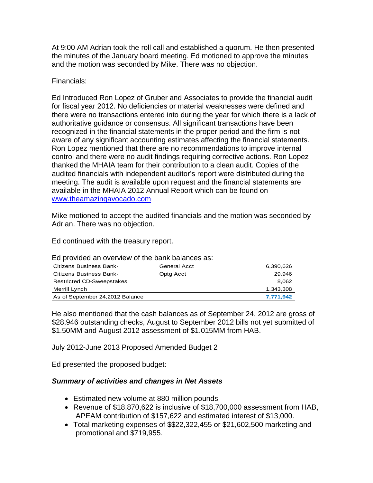At 9:00 AM Adrian took the roll call and established a quorum. He then presented the minutes of the January board meeting. Ed motioned to approve the minutes and the motion was seconded by Mike. There was no objection.

## Financials:

Ed Introduced Ron Lopez of Gruber and Associates to provide the financial audit for fiscal year 2012. No deficiencies or material weaknesses were defined and there were no transactions entered into during the year for which there is a lack of authoritative guidance or consensus. All significant transactions have been recognized in the financial statements in the proper period and the firm is not aware of any significant accounting estimates affecting the financial statements. Ron Lopez mentioned that there are no recommendations to improve internal control and there were no audit findings requiring corrective actions. Ron Lopez thanked the MHAIA team for their contribution to a clean audit. Copies of the audited financials with independent auditor's report were distributed during the meeting. The audit is available upon request and the financial statements are available in the MHAIA 2012 Annual Report which can be found on [www.theamazingavocado.com](http://www.theamazingavocado.com/)

Mike motioned to accept the audited financials and the motion was seconded by Adrian. There was no objection.

Ed continued with the treasury report.

Ed provided an overview of the bank balances as:

| <b>Citizens Business Bank-</b>   | <b>General Acct</b> | 6,390,626 |
|----------------------------------|---------------------|-----------|
| Citizens Business Bank-          | Optg Acct           | 29.946    |
| <b>Restricted CD-Sweepstakes</b> |                     | 8.062     |
| Merrill Lynch                    |                     | 1.343.308 |
| As of September 24, 2012 Balance |                     | 7,771,942 |

He also mentioned that the cash balances as of September 24, 2012 are gross of \$28,946 outstanding checks, August to September 2012 bills not yet submitted of \$1.50MM and August 2012 assessment of \$1.015MM from HAB.

### July 2012-June 2013 Proposed Amended Budget 2

Ed presented the proposed budget:

# *Summary of activities and changes in Net Assets*

- Estimated new volume at 880 million pounds
- Revenue of \$18,870,622 is inclusive of \$18,700,000 assessment from HAB, APEAM contribution of \$157,622 and estimated interest of \$13,000.
- Total marketing expenses of \$\$22,322,455 or \$21,602,500 marketing and promotional and \$719,955.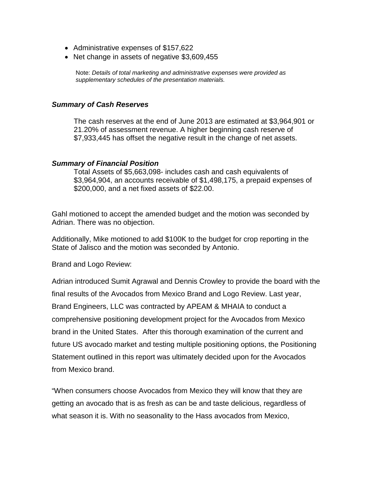- Administrative expenses of \$157,622
- Net change in assets of negative \$3,609,455

Note: *Details of total marketing and administrative expenses were provided as supplementary schedules of the presentation materials.* 

#### *Summary of Cash Reserves*

The cash reserves at the end of June 2013 are estimated at \$3,964,901 or 21.20% of assessment revenue. A higher beginning cash reserve of \$7,933,445 has offset the negative result in the change of net assets.

#### *Summary of Financial Position*

Total Assets of \$5,663,098- includes cash and cash equivalents of \$3,964,904, an accounts receivable of \$1,498,175, a prepaid expenses of \$200,000, and a net fixed assets of \$22.00.

Gahl motioned to accept the amended budget and the motion was seconded by Adrian. There was no objection.

Additionally, Mike motioned to add \$100K to the budget for crop reporting in the State of Jalisco and the motion was seconded by Antonio.

Brand and Logo Review:

Adrian introduced Sumit Agrawal and Dennis Crowley to provide the board with the final results of the Avocados from Mexico Brand and Logo Review. Last year, Brand Engineers, LLC was contracted by APEAM & MHAIA to conduct a comprehensive positioning development project for the Avocados from Mexico brand in the United States. After this thorough examination of the current and future US avocado market and testing multiple positioning options, the Positioning Statement outlined in this report was ultimately decided upon for the Avocados from Mexico brand.

"When consumers choose Avocados from Mexico they will know that they are getting an avocado that is as fresh as can be and taste delicious, regardless of what season it is. With no seasonality to the Hass avocados from Mexico,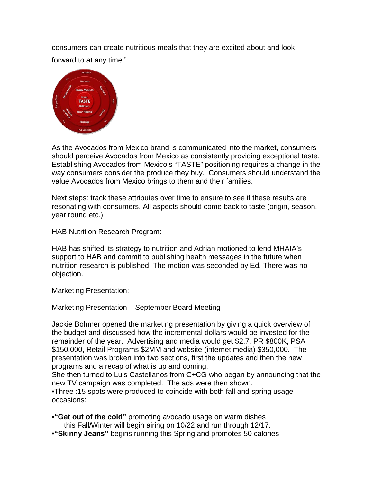consumers can create nutritious meals that they are excited about and look forward to at any time."



As the Avocados from Mexico brand is communicated into the market, consumers should perceive Avocados from Mexico as consistently providing exceptional taste. Establishing Avocados from Mexico's "TASTE" positioning requires a change in the way consumers consider the produce they buy. Consumers should understand the value Avocados from Mexico brings to them and their families.

Next steps: track these attributes over time to ensure to see if these results are resonating with consumers. All aspects should come back to taste (origin, season, year round etc.)

HAB Nutrition Research Program:

HAB has shifted its strategy to nutrition and Adrian motioned to lend MHAIA's support to HAB and commit to publishing health messages in the future when nutrition research is published. The motion was seconded by Ed. There was no objection.

Marketing Presentation:

Marketing Presentation – September Board Meeting

Jackie Bohmer opened the marketing presentation by giving a quick overview of the budget and discussed how the incremental dollars would be invested for the remainder of the year. Advertising and media would get \$2.7, PR \$800K, PSA \$150,000, Retail Programs \$2MM and website (internet media) \$350,000. The presentation was broken into two sections, first the updates and then the new programs and a recap of what is up and coming.

She then turned to Luis Castellanos from C+CG who began by announcing that the new TV campaign was completed. The ads were then shown.

•Three :15 spots were produced to coincide with both fall and spring usage occasions:

•**"Get out of the cold"** promoting avocado usage on warm dishes this Fall/Winter will begin airing on 10/22 and run through 12/17.

•**"Skinny Jeans"** begins running this Spring and promotes 50 calories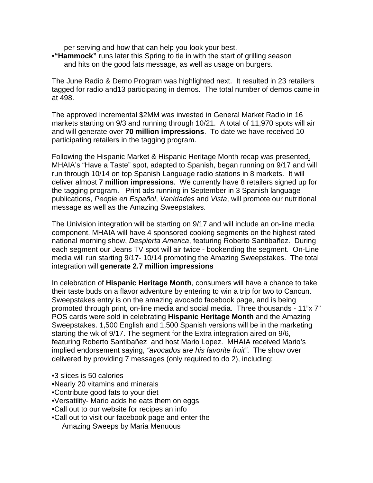per serving and how that can help you look your best.

•**"Hammock"** runs later this Spring to tie in with the start of grilling season and hits on the good fats message, as well as usage on burgers.

The June Radio & Demo Program was highlighted next. It resulted in 23 retailers tagged for radio and13 participating in demos. The total number of demos came in at 498.

The approved Incremental \$2MM was invested in General Market Radio in 16 markets starting on 9/3 and running through 10/21. A total of 11,970 spots will air and will generate over **70 million impressions**. To date we have received 10 participating retailers in the tagging program.

Following the Hispanic Market & Hispanic Heritage Month recap was presented. MHAIA's "Have a Taste" spot, adapted to Spanish, began running on 9/17 and will run through 10/14 on top Spanish Language radio stations in 8 markets. It will deliver almost **7 million impressions**. We currently have 8 retailers signed up for the tagging program. Print ads running in September in 3 Spanish language publications, *People en Español*, *Vanidades* and *Vista*, will promote our nutritional message as well as the Amazing Sweepstakes.

The Univision integration will be starting on 9/17 and will include an on-line media component. MHAIA will have 4 sponsored cooking segments on the highest rated national morning show, *Despierta America*, featuring Roberto Santibañez. During each segment our Jeans TV spot will air twice - bookending the segment. On-Line media will run starting 9/17- 10/14 promoting the Amazing Sweepstakes. The total integration will **generate 2.7 million impressions**

In celebration of **Hispanic Heritage Month**, consumers will have a chance to take their taste buds on a flavor adventure by entering to win a trip for two to Cancun. Sweepstakes entry is on the amazing avocado facebook page, and is being promoted through print, on-line media and social media. Three thousands - 11"x 7" POS cards were sold in celebrating **Hispanic Heritage Month** and the Amazing Sweepstakes. 1,500 English and 1,500 Spanish versions will be in the marketing starting the wk of 9/17. The segment for the Extra integration aired on 9/6, featuring Roberto Santibañez and host Mario Lopez. MHAIA received Mario's implied endorsement saying, *"avocados are his favorite fruit"*. The show over delivered by providing 7 messages (only required to do 2), including:

- •3 slices is 50 calories
- •Nearly 20 vitamins and minerals
- •Contribute good fats to your diet
- •Versatility- Mario adds he eats them on eggs
- •Call out to our website for recipes an info
- •Call out to visit our facebook page and enter the Amazing Sweeps by Maria Menuous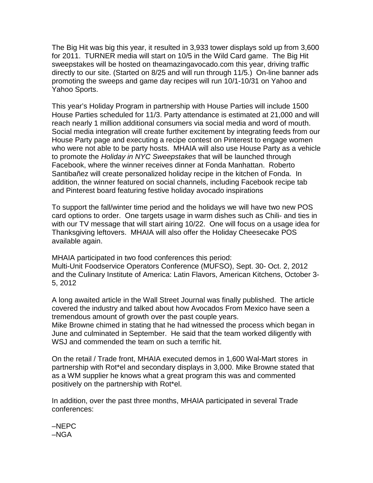The Big Hit was big this year, it resulted in 3,933 tower displays sold up from 3,600 for 2011. TURNER media will start on 10/5 in the Wild Card game. The Big Hit sweepstakes will be hosted on theamazingavocado.com this year, driving traffic directly to our site. (Started on 8/25 and will run through 11/5.) On-line banner ads promoting the sweeps and game day recipes will run 10/1-10/31 on Yahoo and Yahoo Sports.

This year's Holiday Program in partnership with House Parties will include 1500 House Parties scheduled for 11/3. Party attendance is estimated at 21,000 and will reach nearly 1 million additional consumers via social media and word of mouth. Social media integration will create further excitement by integrating feeds from our House Party page and executing a recipe contest on Pinterest to engage women who were not able to be party hosts. MHAIA will also use House Party as a vehicle to promote the *Holiday in NYC Sweepstakes* that will be launched through Facebook, where the winner receives dinner at Fonda Manhattan. Roberto Santibañez will create personalized holiday recipe in the kitchen of Fonda. In addition, the winner featured on social channels, including Facebook recipe tab and Pinterest board featuring festive holiday avocado inspirations

To support the fall/winter time period and the holidays we will have two new POS card options to order. One targets usage in warm dishes such as Chili- and ties in with our TV message that will start airing 10/22. One will focus on a usage idea for Thanksgiving leftovers. MHAIA will also offer the Holiday Cheesecake POS available again.

MHAIA participated in two food conferences this period: Multi-Unit Foodservice Operators Conference (MUFSO), Sept. 30- Oct. 2, 2012 and the Culinary Institute of America: Latin Flavors, American Kitchens, October 3- 5, 2012

A long awaited article in the Wall Street Journal was finally published. The article covered the industry and talked about how Avocados From Mexico have seen a tremendous amount of growth over the past couple years.

Mike Browne chimed in stating that he had witnessed the process which began in June and culminated in September. He said that the team worked diligently with WSJ and commended the team on such a terrific hit.

On the retail / Trade front, MHAIA executed demos in 1,600 Wal-Mart stores in partnership with Rot\*el and secondary displays in 3,000. Mike Browne stated that as a WM supplier he knows what a great program this was and commented positively on the partnership with Rot\*el.

In addition, over the past three months, MHAIA participated in several Trade conferences:

–NEPC –NGA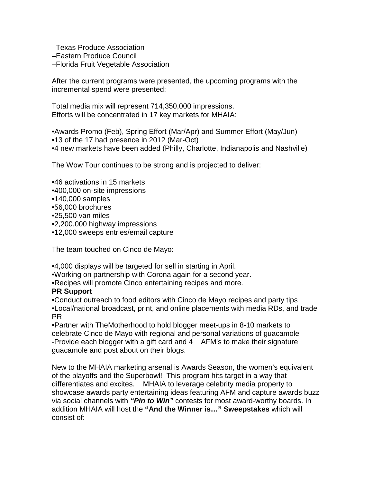–Texas Produce Association

- –Eastern Produce Council
- –Florida Fruit Vegetable Association

After the current programs were presented, the upcoming programs with the incremental spend were presented:

Total media mix will represent 714,350,000 impressions. Efforts will be concentrated in 17 key markets for MHAIA:

•Awards Promo (Feb), Spring Effort (Mar/Apr) and Summer Effort (May/Jun)

- •13 of the 17 had presence in 2012 (Mar-Oct)
- •4 new markets have been added (Philly, Charlotte, Indianapolis and Nashville)

The Wow Tour continues to be strong and is projected to deliver:

- •46 activations in 15 markets
- •400,000 on-site impressions
- •140,000 samples
- •56,000 brochures
- •25,500 van miles
- •2,200,000 highway impressions
- •12,000 sweeps entries/email capture

The team touched on Cinco de Mayo:

- •4,000 displays will be targeted for sell in starting in April.
- •Working on partnership with Corona again for a second year.
- •Recipes will promote Cinco entertaining recipes and more.

# **PR Support**

•Conduct outreach to food editors with Cinco de Mayo recipes and party tips •Local/national broadcast, print, and online placements with media RDs, and trade PR

•Partner with TheMotherhood to hold blogger meet-ups in 8-10 markets to celebrate Cinco de Mayo with regional and personal variations of guacamole -Provide each blogger with a gift card and 4 AFM's to make their signature guacamole and post about on their blogs.

New to the MHAIA marketing arsenal is Awards Season, the women's equivalent of the playoffs and the Superbowl! This program hits target in a way that differentiates and excites. MHAIA to leverage celebrity media property to showcase awards party entertaining ideas featuring AFM and capture awards buzz via social channels with *"Pin to Win"* contests for most award-worthy boards. In addition MHAIA will host the **"And the Winner is…" Sweepstakes** which will consist of: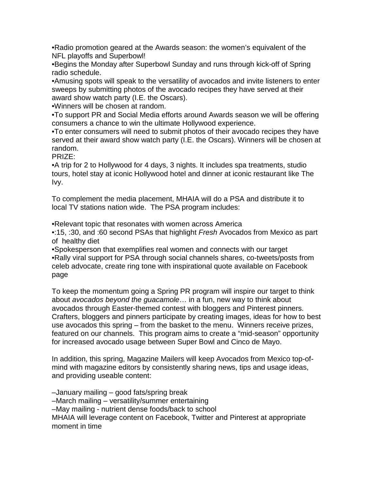•Radio promotion geared at the Awards season: the women's equivalent of the NFL playoffs and Superbowl!

•Begins the Monday after Superbowl Sunday and runs through kick-off of Spring radio schedule.

•Amusing spots will speak to the versatility of avocados and invite listeners to enter sweeps by submitting photos of the avocado recipes they have served at their award show watch party (I.E. the Oscars).

•Winners will be chosen at random.

•To support PR and Social Media efforts around Awards season we will be offering consumers a chance to win the ultimate Hollywood experience.

•To enter consumers will need to submit photos of their avocado recipes they have served at their award show watch party (I.E. the Oscars). Winners will be chosen at random.

PRIZE:

•A trip for 2 to Hollywood for 4 days, 3 nights. It includes spa treatments, studio tours, hotel stay at iconic Hollywood hotel and dinner at iconic restaurant like The Ivy.

To complement the media placement, MHAIA will do a PSA and distribute it to local TV stations nation wide. The PSA program includes:

•Relevant topic that resonates with women across America

•:15, :30, and :60 second PSAs that highlight *Fresh* Avocados from Mexico as part of healthy diet

•Spokesperson that exemplifies real women and connects with our target •Rally viral support for PSA through social channels shares, co-tweets/posts from celeb advocate, create ring tone with inspirational quote available on Facebook page

To keep the momentum going a Spring PR program will inspire our target to think about *avocados beyond the guacamole*… in a fun, new way to think about avocados through Easter-themed contest with bloggers and Pinterest pinners. Crafters, bloggers and pinners participate by creating images, ideas for how to best use avocados this spring – from the basket to the menu. Winners receive prizes, featured on our channels. This program aims to create a "mid-season" opportunity for increased avocado usage between Super Bowl and Cinco de Mayo.

In addition, this spring, Magazine Mailers will keep Avocados from Mexico top-ofmind with magazine editors by consistently sharing news, tips and usage ideas, and providing useable content:

–January mailing – good fats/spring break –March mailing – versatility/summer entertaining –May mailing - nutrient dense foods/back to school MHAIA will leverage content on Facebook, Twitter and Pinterest at appropriate moment in time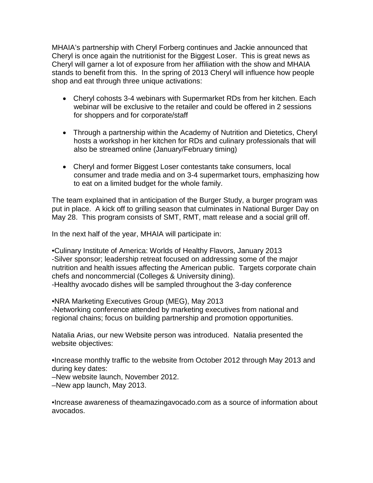MHAIA's partnership with Cheryl Forberg continues and Jackie announced that Cheryl is once again the nutritionist for the Biggest Loser. This is great news as Cheryl will garner a lot of exposure from her affiliation with the show and MHAIA stands to benefit from this. In the spring of 2013 Cheryl will influence how people shop and eat through three unique activations:

- Cheryl cohosts 3-4 webinars with Supermarket RDs from her kitchen. Each webinar will be exclusive to the retailer and could be offered in 2 sessions for shoppers and for corporate/staff
- Through a partnership within the Academy of Nutrition and Dietetics, Cheryl hosts a workshop in her kitchen for RDs and culinary professionals that will also be streamed online (January/February timing)
- Cheryl and former Biggest Loser contestants take consumers, local consumer and trade media and on 3-4 supermarket tours, emphasizing how to eat on a limited budget for the whole family.

The team explained that in anticipation of the Burger Study, a burger program was put in place. A kick off to grilling season that culminates in National Burger Day on May 28. This program consists of SMT, RMT, matt release and a social grill off.

In the next half of the year, MHAIA will participate in:

•Culinary Institute of America: Worlds of Healthy Flavors, January 2013 -Silver sponsor; leadership retreat focused on addressing some of the major nutrition and health issues affecting the American public. Targets corporate chain chefs and noncommercial (Colleges & University dining). -Healthy avocado dishes will be sampled throughout the 3-day conference

•NRA Marketing Executives Group (MEG), May 2013 -Networking conference attended by marketing executives from national and regional chains; focus on building partnership and promotion opportunities.

Natalia Arias, our new Website person was introduced. Natalia presented the website objectives:

•Increase monthly traffic to the website from October 2012 through May 2013 and during key dates:

–New website launch, November 2012.

–New app launch, May 2013.

•Increase awareness of theamazingavocado.com as a source of information about avocados.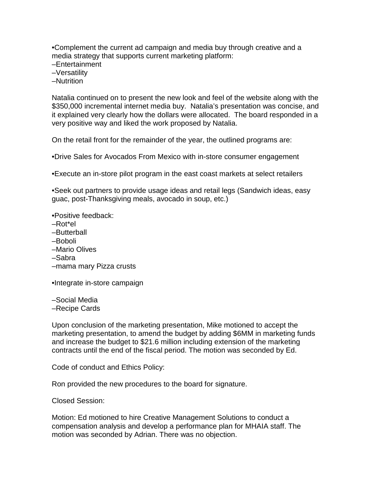•Complement the current ad campaign and media buy through creative and a media strategy that supports current marketing platform:

–Entertainment

–Versatility

–Nutrition

Natalia continued on to present the new look and feel of the website along with the \$350,000 incremental internet media buy. Natalia's presentation was concise, and it explained very clearly how the dollars were allocated. The board responded in a very positive way and liked the work proposed by Natalia.

On the retail front for the remainder of the year, the outlined programs are:

•Drive Sales for Avocados From Mexico with in-store consumer engagement

•Execute an in-store pilot program in the east coast markets at select retailers

•Seek out partners to provide usage ideas and retail legs (Sandwich ideas, easy guac, post-Thanksgiving meals, avocado in soup, etc.)

•Positive feedback:

- –Rot\*el
- –Butterball
- –Boboli
- –Mario Olives
- –Sabra
- –mama mary Pizza crusts

•Integrate in-store campaign

–Social Media

–Recipe Cards

Upon conclusion of the marketing presentation, Mike motioned to accept the marketing presentation, to amend the budget by adding \$6MM in marketing funds and increase the budget to \$21.6 million including extension of the marketing contracts until the end of the fiscal period. The motion was seconded by Ed.

Code of conduct and Ethics Policy:

Ron provided the new procedures to the board for signature.

Closed Session:

Motion: Ed motioned to hire Creative Management Solutions to conduct a compensation analysis and develop a performance plan for MHAIA staff. The motion was seconded by Adrian. There was no objection.